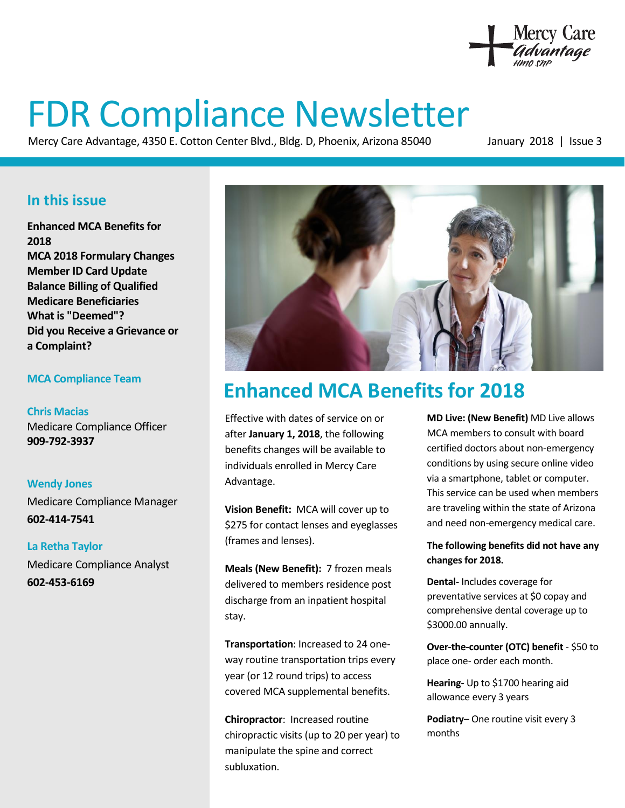

# FDR Compliance Newsletter

Mercy Care Advantage, 4350 E. Cotton Center Blvd., Bldg. D, Phoenix, Arizona 85040 January 2018 | Issue 3

### **In this issue**

**Enhanced MCA Benefits for 2018 MCA 2018 Formulary Changes Member ID Card Update Balance Billing of Qualified Medicare Beneficiaries What is "Deemed"? Did you Receive a Grievance or a Complaint?** 

#### **MCA Compliance Team**

**Chris Macias**  Medicare Compliance Officer **909-792-3937** 

**Wendy Jones**  Medicare Compliance Manager **602-414-7541** 

**La Retha Taylor**  Medicare Compliance Analyst **602-453-6169** 



# **Enhanced MCA Benefits for 2018**

Effective with dates of service on or after **January 1, 2018**, the following benefits changes will be available to individuals enrolled in Mercy Care Advantage.

**Vision Benefit:** MCA will cover up to \$275 for contact lenses and eyeglasses (frames and lenses).

**Meals (New Benefit):** 7 frozen meals delivered to members residence post discharge from an inpatient hospital stay.

**Transportation**: Increased to 24 oneway routine transportation trips every year (or 12 round trips) to access covered MCA supplemental benefits.

**Chiropractor**: Increased routine chiropractic visits (up to 20 per year) to manipulate the spine and correct subluxation.

**MD Live: (New Benefit)** MD Live allows MCA members to consult with board certified doctors about non-emergency conditions by using secure online video via a smartphone, tablet or computer. This service can be used when members are traveling within the state of Arizona and need non-emergency medical care.

#### **The following benefits did not have any changes for 2018.**

**Dental-** Includes coverage for preventative services at \$0 copay and comprehensive dental coverage up to \$3000.00 annually.

**Over-the-counter (OTC) benefit** - \$50 to place one- order each month.

**Hearing-** Up to \$1700 hearing aid allowance every 3 years

**Podiatry**– One routine visit every 3 months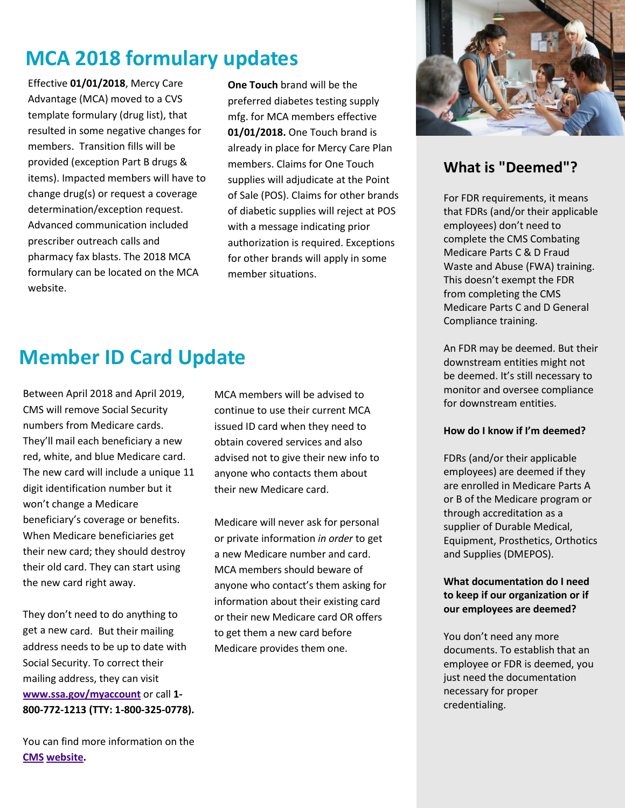# **MCA 2018 formulary updates**

Effective **01/01/2018**, Mercy Care Advantage (MCA) moved to a CVS template formulary (drug list), that resulted in some negative changes for members. Transition fills will be provided (exception Part B drugs & items). Impacted members will have to change drug(s) or request a coverage determination/exception request. Advanced communication included prescriber outreach calls and pharmacy fax blasts. The 2018 MCA formulary can be located on the MCA website.

**One Touch** brand will be the preferred diabetes testing supply mfg. for MCA members effective **01/01/2018.** One Touch brand is already in place for Mercy Care Plan members. Claims for One Touch supplies will adjudicate at the Point of Sale (POS). Claims for other brands of diabetic supplies will reject at POS with a message indicating prior authorization is required. Exceptions for other brands will apply in some member situations.



Between April 2018 and April 2019, CMS will remove Social Security numbers from Medicare cards. They'll mail each beneficiary a new red, white, and blue Medicare card. The new card will include a unique 11 digit identification number but it won't change a Medicare beneficiary's coverage or benefits. When Medicare beneficiaries get their new card; they should destroy their old card. They can start using the new card right away.

They don't need to do anything to get a new card. But their mailing address needs to be up to date with Social Security. To correct their mailing address, they can visit **[www.ssa.gov/myaccount](http://www.ssa.gov/myaccount)** or call **1- 800-772-1213 (TTY: 1-800-325-0778).**  continue to use their current MCA issued ID card when they need to obtain covered services and also advised not to give their new info to anyone who contacts them about their new Medicare card.

MCA members will be advised to

Medicare will never ask for personal or private information *in order* to get a new Medicare number and card. MCA members should beware of anyone who contact's them asking for information about their existing card or their new Medicare card OR offers to get them a new card before Medicare provides them one.



### **What is "Deemed"?**

For FDR requirements, it means that FDRs (and/or their applicable employees) don't need to complete the CMS Combating Medicare Parts C & D Fraud Waste and Abuse (FWA) training. This doesn't exempt the FDR from completing the CMS Medicare Parts C and D General Compliance training.

An FDR may be deemed. But their downstream entities might not be deemed. It's still necessary to monitor and oversee compliance for downstream entities.

#### **How do I know if I'm deemed?**

FDRs (and/or their applicable employees) are deemed if they are enrolled in Medicare Parts A or B of the Medicare program or through accreditation as a supplier of Durable Medical, Equipment, Prosthetics, Orthotics and Supplies (DMEPOS).

#### **What documentation do I need to keep if our organization or if our employees are deemed?**

You don't need any more documents. To establish that an employee or FDR is deemed, you just need the documentation necessary for proper credentialing.

You can find more information on the **[CMS website.](https://www.cms.gov/medicare/new-medicare-card/nmc-home.html)**